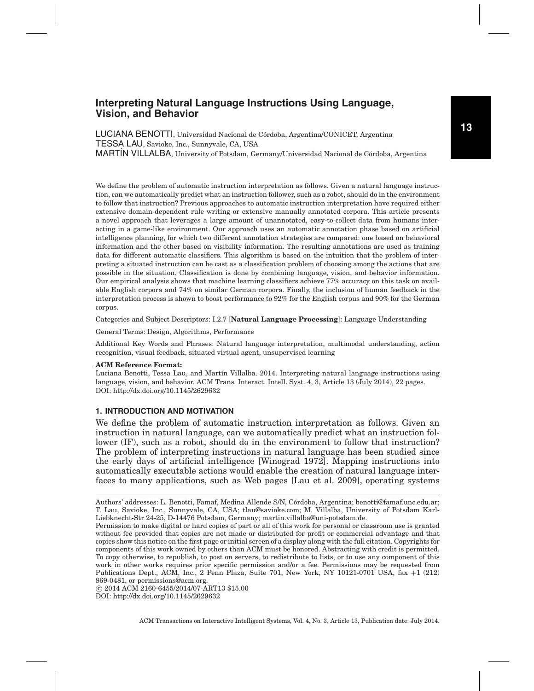LUCIANA BENOTTI, Universidad Nacional de Córdoba, Argentina/CONICET, Argentina TESSA LAU, Savioke, Inc., Sunnyvale, CA, USA MARTÍN VILLALBA, University of Potsdam, Germany/Universidad Nacional de Córdoba, Argentina

We define the problem of automatic instruction interpretation as follows. Given a natural language instruction, can we automatically predict what an instruction follower, such as a robot, should do in the environment to follow that instruction? Previous approaches to automatic instruction interpretation have required either extensive domain-dependent rule writing or extensive manually annotated corpora. This article presents a novel approach that leverages a large amount of unannotated, easy-to-collect data from humans interacting in a game-like environment. Our approach uses an automatic annotation phase based on artificial intelligence planning, for which two different annotation strategies are compared: one based on behavioral information and the other based on visibility information. The resulting annotations are used as training data for different automatic classifiers. This algorithm is based on the intuition that the problem of interpreting a situated instruction can be cast as a classification problem of choosing among the actions that are possible in the situation. Classification is done by combining language, vision, and behavior information. Our empirical analysis shows that machine learning classifiers achieve 77% accuracy on this task on available English corpora and 74% on similar German corpora. Finally, the inclusion of human feedback in the interpretation process is shown to boost performance to 92% for the English corpus and 90% for the German corpus.

Categories and Subject Descriptors: I.2.7 [**Natural Language Processing**]: Language Understanding

General Terms: Design, Algorithms, Performance

Additional Key Words and Phrases: Natural language interpretation, multimodal understanding, action recognition, visual feedback, situated virtual agent, unsupervised learning

#### **ACM Reference Format:**

Luciana Benotti, Tessa Lau, and Martín Villalba. 2014. Interpreting natural language instructions using language, vision, and behavior. ACM Trans. Interact. Intell. Syst. 4, 3, Article 13 (July 2014), 22 pages. DOI:<http://dx.doi.org/10.1145/2629632>

## **1. INTRODUCTION AND MOTIVATION**

We define the problem of automatic instruction interpretation as follows. Given an instruction in natural language, can we automatically predict what an instruction follower (IF), such as a robot, should do in the environment to follow that instruction? The problem of interpreting instructions in natural language has been studied since the early days of artificial intelligence [Winograd [1972\]](#page-21-0). Mapping instructions into automatically executable actions would enable the creation of natural language interfaces to many applications, such as Web pages [Lau et al. [2009\]](#page-20-0), operating systems

-c 2014 ACM 2160-6455/2014/07-ART13 \$15.00

DOI:<http://dx.doi.org/10.1145/2629632>

Authors' addresses: L. Benotti, Famaf, Medina Allende S/N, Cordoba, Argentina; benotti@famaf.unc.edu.ar; ´ T. Lau, Savioke, Inc., Sunnyvale, CA, USA; tlau@savioke.com; M. Villalba, University of Potsdam Karl-Liebknecht-Str 24-25, D-14476 Potsdam, Germany; martin.villalba@uni-potsdam.de.

Permission to make digital or hard copies of part or all of this work for personal or classroom use is granted without fee provided that copies are not made or distributed for profit or commercial advantage and that copies show this notice on the first page or initial screen of a display along with the full citation. Copyrights for components of this work owned by others than ACM must be honored. Abstracting with credit is permitted. To copy otherwise, to republish, to post on servers, to redistribute to lists, or to use any component of this work in other works requires prior specific permission and/or a fee. Permissions may be requested from Publications Dept., ACM, Inc., 2 Penn Plaza, Suite 701, New York, NY 10121-0701 USA, fax +1 (212) 869-0481, or permissions@acm.org.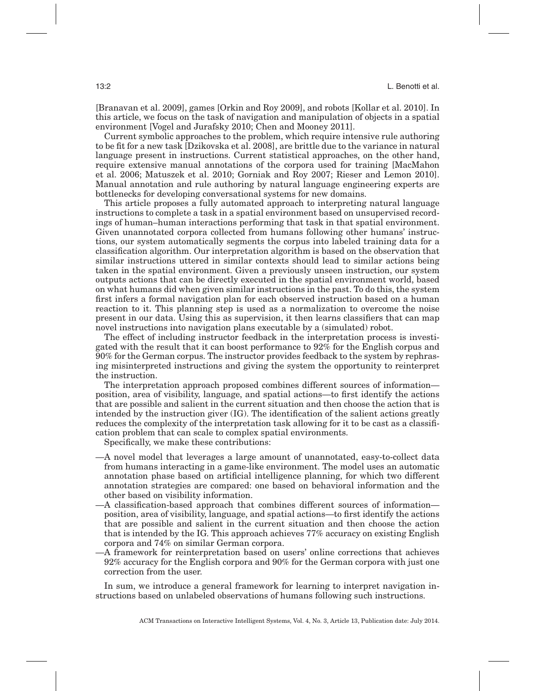[Branavan et al. [2009\]](#page-19-0), games [Orkin and Roy [2009\]](#page-20-1), and robots [Kollar et al. [2010\]](#page-20-2). In this article, we focus on the task of navigation and manipulation of objects in a spatial environment [Vogel and Jurafsky [2010;](#page-21-1) Chen and Mooney [2011\]](#page-19-1).

Current symbolic approaches to the problem, which require intensive rule authoring to be fit for a new task [Dzikovska et al. [2008\]](#page-19-2), are brittle due to the variance in natural language present in instructions. Current statistical approaches, on the other hand, require extensive manual annotations of the corpora used for training [MacMahon et al. [2006;](#page-20-3) Matuszek et al. [2010;](#page-20-4) Gorniak and Roy [2007;](#page-19-3) Rieser and Lemon [2010\]](#page-21-2). Manual annotation and rule authoring by natural language engineering experts are bottlenecks for developing conversational systems for new domains.

This article proposes a fully automated approach to interpreting natural language instructions to complete a task in a spatial environment based on unsupervised recordings of human–human interactions performing that task in that spatial environment. Given unannotated corpora collected from humans following other humans' instructions, our system automatically segments the corpus into labeled training data for a classification algorithm. Our interpretation algorithm is based on the observation that similar instructions uttered in similar contexts should lead to similar actions being taken in the spatial environment. Given a previously unseen instruction, our system outputs actions that can be directly executed in the spatial environment world, based on what humans did when given similar instructions in the past. To do this, the system first infers a formal navigation plan for each observed instruction based on a human reaction to it. This planning step is used as a normalization to overcome the noise present in our data. Using this as supervision, it then learns classifiers that can map novel instructions into navigation plans executable by a (simulated) robot.

The effect of including instructor feedback in the interpretation process is investigated with the result that it can boost performance to 92% for the English corpus and 90% for the German corpus. The instructor provides feedback to the system by rephrasing misinterpreted instructions and giving the system the opportunity to reinterpret the instruction.

The interpretation approach proposed combines different sources of information position, area of visibility, language, and spatial actions—to first identify the actions that are possible and salient in the current situation and then choose the action that is intended by the instruction giver (IG). The identification of the salient actions greatly reduces the complexity of the interpretation task allowing for it to be cast as a classification problem that can scale to complex spatial environments.

Specifically, we make these contributions:

- —A novel model that leverages a large amount of unannotated, easy-to-collect data from humans interacting in a game-like environment. The model uses an automatic annotation phase based on artificial intelligence planning, for which two different annotation strategies are compared: one based on behavioral information and the other based on visibility information.
- —A classification-based approach that combines different sources of information position, area of visibility, language, and spatial actions—to first identify the actions that are possible and salient in the current situation and then choose the action that is intended by the IG. This approach achieves 77% accuracy on existing English corpora and 74% on similar German corpora.
- —A framework for reinterpretation based on users' online corrections that achieves 92% accuracy for the English corpora and 90% for the German corpora with just one correction from the user.

In sum, we introduce a general framework for learning to interpret navigation instructions based on unlabeled observations of humans following such instructions.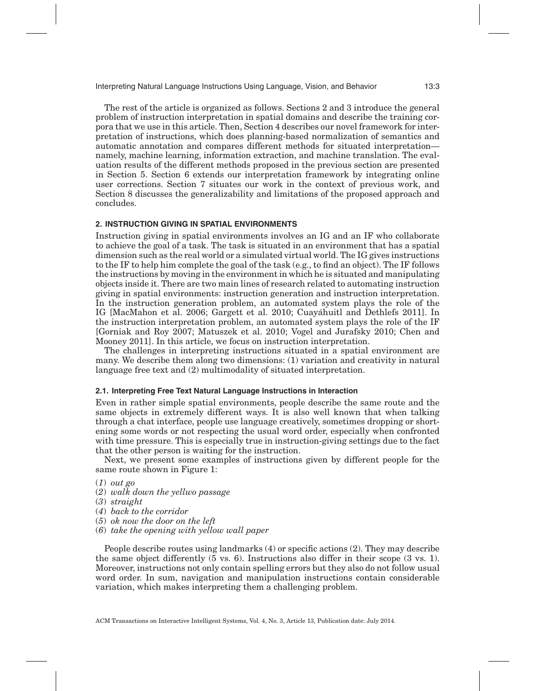The rest of the article is organized as follows. Sections [2](#page-2-0) and [3](#page-4-0) introduce the general problem of instruction interpretation in spatial domains and describe the training corpora that we use in this article. Then, Section [4](#page-5-0) describes our novel framework for interpretation of instructions, which does planning-based normalization of semantics and automatic annotation and compares different methods for situated interpretation namely, machine learning, information extraction, and machine translation. The evaluation results of the different methods proposed in the previous section are presented in Section [5.](#page-10-0) Section [6](#page-12-0) extends our interpretation framework by integrating online user corrections. Section [7](#page-14-0) situates our work in the context of previous work, and Section [8](#page-17-0) discusses the generalizability and limitations of the proposed approach and concludes.

## **2. INSTRUCTION GIVING IN SPATIAL ENVIRONMENTS**

<span id="page-2-0"></span>Instruction giving in spatial environments involves an IG and an IF who collaborate to achieve the goal of a task. The task is situated in an environment that has a spatial dimension such as the real world or a simulated virtual world. The IG gives instructions to the IF to help him complete the goal of the task (e.g., to find an object). The IF follows the instructions by moving in the environment in which he is situated and manipulating objects inside it. There are two main lines of research related to automating instruction giving in spatial environments: instruction generation and instruction interpretation. In the instruction generation problem, an automated system plays the role of the IG [MacMahon et al. [2006;](#page-20-3) Gargett et al. [2010;](#page-19-4) Cuayahuitl and Dethlefs [2011\]](#page-19-5). In ´ the instruction interpretation problem, an automated system plays the role of the IF [Gorniak and Roy [2007;](#page-19-3) Matuszek et al. [2010;](#page-20-4) Vogel and Jurafsky [2010;](#page-21-1) Chen and Mooney [2011\]](#page-19-1). In this article, we focus on instruction interpretation.

The challenges in interpreting instructions situated in a spatial environment are many. We describe them along two dimensions: (1) variation and creativity in natural language free text and (2) multimodality of situated interpretation.

#### **2.1. Interpreting Free Text Natural Language Instructions in Interaction**

Even in rather simple spatial environments, people describe the same route and the same objects in extremely different ways. It is also well known that when talking through a chat interface, people use language creatively, sometimes dropping or shortening some words or not respecting the usual word order, especially when confronted with time pressure. This is especially true in instruction-giving settings due to the fact that the other person is waiting for the instruction.

Next, we present some examples of instructions given by different people for the same route shown in Figure [1:](#page-3-0)

(*1*) *out go*

- (*2*) *walk down the yellwo passage*
- (*3*) *straight*
- (*4*) *back to the corridor*
- (*5*) *ok now the door on the left*
- (*6*) *take the opening with yellow wall paper*

People describe routes using landmarks (4) or specific actions (2). They may describe the same object differently (5 vs. 6). Instructions also differ in their scope (3 vs. 1). Moreover, instructions not only contain spelling errors but they also do not follow usual word order. In sum, navigation and manipulation instructions contain considerable variation, which makes interpreting them a challenging problem.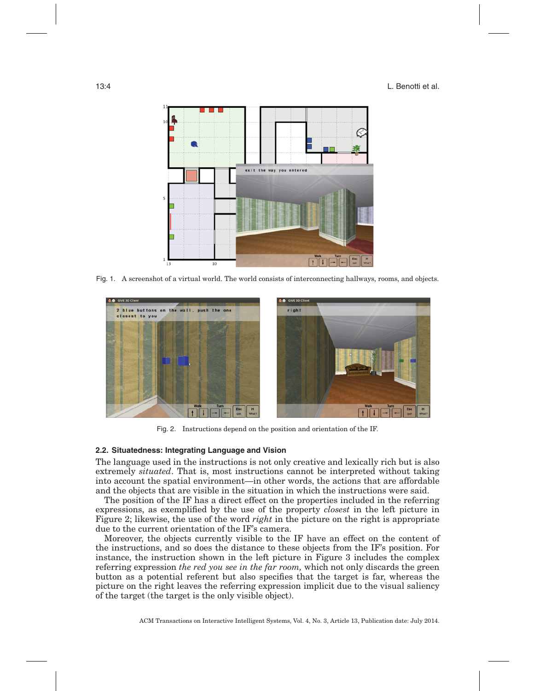<span id="page-3-0"></span>

Fig. 1. A screenshot of a virtual world. The world consists of interconnecting hallways, rooms, and objects.

<span id="page-3-1"></span>

Fig. 2. Instructions depend on the position and orientation of the IF.

# **2.2. Situatedness: Integrating Language and Vision**

The language used in the instructions is not only creative and lexically rich but is also extremely *situated*. That is, most instructions cannot be interpreted without taking into account the spatial environment—in other words, the actions that are affordable and the objects that are visible in the situation in which the instructions were said.

The position of the IF has a direct effect on the properties included in the referring expressions, as exemplified by the use of the property *closest* in the left picture in Figure [2;](#page-3-1) likewise, the use of the word *right* in the picture on the right is appropriate due to the current orientation of the IF's camera.

Moreover, the objects currently visible to the IF have an effect on the content of the instructions, and so does the distance to these objects from the IF's position. For instance, the instruction shown in the left picture in Figure [3](#page-4-1) includes the complex referring expression *the red you see in the far room,* which not only discards the green button as a potential referent but also specifies that the target is far, whereas the picture on the right leaves the referring expression implicit due to the visual saliency of the target (the target is the only visible object).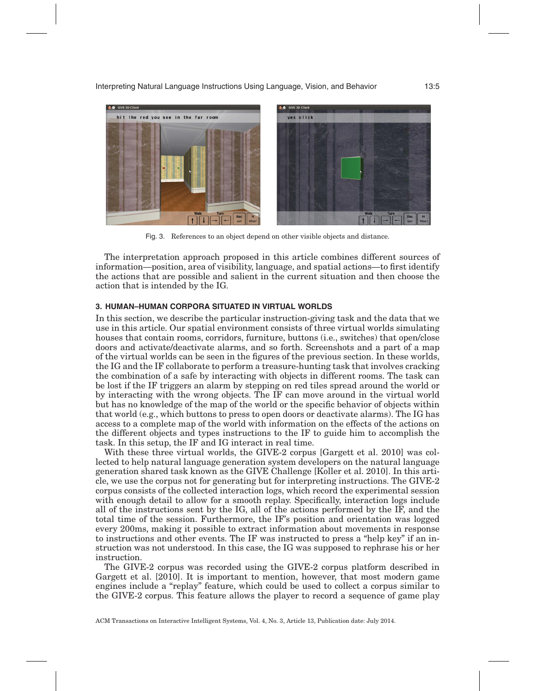<span id="page-4-1"></span>

Fig. 3. References to an object depend on other visible objects and distance.

The interpretation approach proposed in this article combines different sources of information—position, area of visibility, language, and spatial actions—to first identify the actions that are possible and salient in the current situation and then choose the action that is intended by the IG.

## **3. HUMAN–HUMAN CORPORA SITUATED IN VIRTUAL WORLDS**

<span id="page-4-0"></span>In this section, we describe the particular instruction-giving task and the data that we use in this article. Our spatial environment consists of three virtual worlds simulating houses that contain rooms, corridors, furniture, buttons (i.e., switches) that open/close doors and activate/deactivate alarms, and so forth. Screenshots and a part of a map of the virtual worlds can be seen in the figures of the previous section. In these worlds, the IG and the IF collaborate to perform a treasure-hunting task that involves cracking the combination of a safe by interacting with objects in different rooms. The task can be lost if the IF triggers an alarm by stepping on red tiles spread around the world or by interacting with the wrong objects. The IF can move around in the virtual world but has no knowledge of the map of the world or the specific behavior of objects within that world (e.g., which buttons to press to open doors or deactivate alarms). The IG has access to a complete map of the world with information on the effects of the actions on the different objects and types instructions to the IF to guide him to accomplish the task. In this setup, the IF and IG interact in real time.

With these three virtual worlds, the GIVE-2 corpus [Gargett et al. [2010\]](#page-19-4) was collected to help natural language generation system developers on the natural language generation shared task known as the GIVE Challenge [Koller et al. [2010\]](#page-20-5). In this article, we use the corpus not for generating but for interpreting instructions. The GIVE-2 corpus consists of the collected interaction logs, which record the experimental session with enough detail to allow for a smooth replay. Specifically, interaction logs include all of the instructions sent by the IG, all of the actions performed by the IF, and the total time of the session. Furthermore, the IF's position and orientation was logged every 200ms, making it possible to extract information about movements in response to instructions and other events. The IF was instructed to press a "help key" if an instruction was not understood. In this case, the IG was supposed to rephrase his or her instruction.

The GIVE-2 corpus was recorded using the GIVE-2 corpus platform described in Gargett et al. [\[2010\]](#page-19-4). It is important to mention, however, that most modern game engines include a "replay" feature, which could be used to collect a corpus similar to the GIVE-2 corpus. This feature allows the player to record a sequence of game play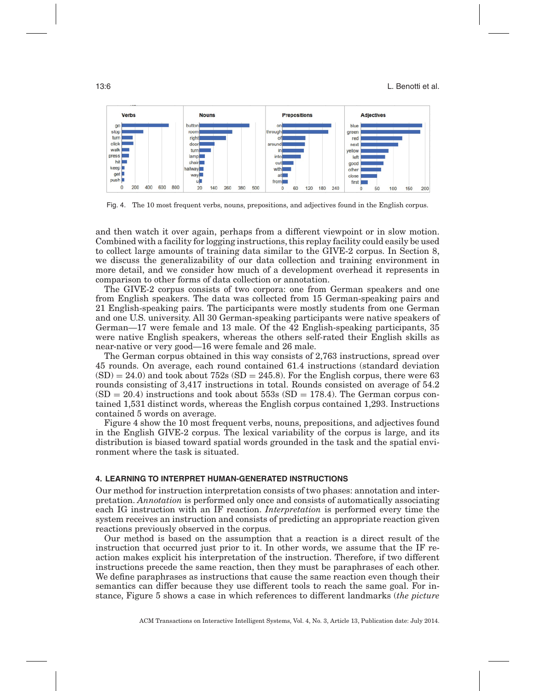<span id="page-5-1"></span>

Fig. 4. The 10 most frequent verbs, nouns, prepositions, and adjectives found in the English corpus.

and then watch it over again, perhaps from a different viewpoint or in slow motion. Combined with a facility for logging instructions, this replay facility could easily be used to collect large amounts of training data similar to the GIVE-2 corpus. In Section [8,](#page-17-0) we discuss the generalizability of our data collection and training environment in more detail, and we consider how much of a development overhead it represents in comparison to other forms of data collection or annotation.

The GIVE-2 corpus consists of two corpora: one from German speakers and one from English speakers. The data was collected from 15 German-speaking pairs and 21 English-speaking pairs. The participants were mostly students from one German and one U.S. university. All 30 German-speaking participants were native speakers of German—17 were female and 13 male. Of the 42 English-speaking participants, 35 were native English speakers, whereas the others self-rated their English skills as near-native or very good—16 were female and 26 male.

The German corpus obtained in this way consists of 2,763 instructions, spread over 45 rounds. On average, each round contained 61.4 instructions (standard deviation  $(SD) = 24.0$  and took about 752s  $(SD = 245.8)$ . For the English corpus, there were 63 rounds consisting of 3,417 instructions in total. Rounds consisted on average of 54.2  $(SD = 20.4)$  instructions and took about 553s  $(SD = 178.4)$ . The German corpus contained 1,531 distinct words, whereas the English corpus contained 1,293. Instructions contained 5 words on average.

Figure [4](#page-5-1) show the 10 most frequent verbs, nouns, prepositions, and adjectives found in the English GIVE-2 corpus. The lexical variability of the corpus is large, and its distribution is biased toward spatial words grounded in the task and the spatial environment where the task is situated.

#### **4. LEARNING TO INTERPRET HUMAN-GENERATED INSTRUCTIONS**

<span id="page-5-0"></span>Our method for instruction interpretation consists of two phases: annotation and interpretation. *Annotation* is performed only once and consists of automatically associating each IG instruction with an IF reaction. *Interpretation* is performed every time the system receives an instruction and consists of predicting an appropriate reaction given reactions previously observed in the corpus.

Our method is based on the assumption that a reaction is a direct result of the instruction that occurred just prior to it. In other words, we assume that the IF reaction makes explicit his interpretation of the instruction. Therefore, if two different instructions precede the same reaction, then they must be paraphrases of each other. We define paraphrases as instructions that cause the same reaction even though their semantics can differ because they use different tools to reach the same goal. For instance, Figure [5](#page-6-0) shows a case in which references to different landmarks (*the picture*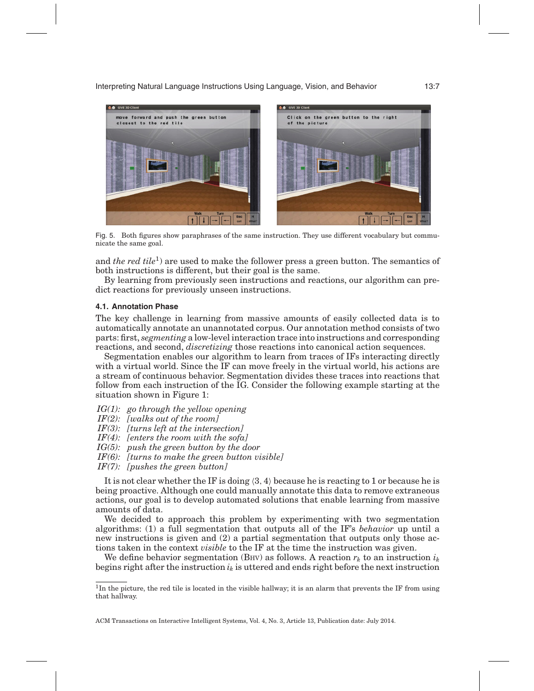<span id="page-6-0"></span>

Fig. 5. Both figures show paraphrases of the same instruction. They use different vocabulary but communicate the same goal.

and *the red tile*[1\)](#page-6-1) are used to make the follower press a green button. The semantics of both instructions is different, but their goal is the same.

By learning from previously seen instructions and reactions, our algorithm can predict reactions for previously unseen instructions.

## **4.1. Annotation Phase**

<span id="page-6-2"></span>The key challenge in learning from massive amounts of easily collected data is to automatically annotate an unannotated corpus. Our annotation method consists of two parts: first, *segmenting* a low-level interaction trace into instructions and corresponding reactions, and second, *discretizing* those reactions into canonical action sequences.

Segmentation enables our algorithm to learn from traces of IFs interacting directly with a virtual world. Since the IF can move freely in the virtual world, his actions are a stream of continuous behavior. Segmentation divides these traces into reactions that follow from each instruction of the IG. Consider the following example starting at the situation shown in Figure [1:](#page-3-0)

- *IG(1): go through the yellow opening*
- *IF(2): [walks out of the room]*
- *IF(3): [turns left at the intersection]*
- *IF(4): [enters the room with the sofa]*
- *IG(5): push the green button by the door*
- *IF(6): [turns to make the green button visible]*
- *IF(7): [pushes the green button]*

It is not clear whether the IF is doing  $(3, 4)$  because he is reacting to 1 or because he is being proactive. Although one could manually annotate this data to remove extraneous actions, our goal is to develop automated solutions that enable learning from massive amounts of data.

We decided to approach this problem by experimenting with two segmentation algorithms: (1) a full segmentation that outputs all of the IF's *behavior* up until a new instructions is given and (2) a partial segmentation that outputs only those actions taken in the context *visible* to the IF at the time the instruction was given.

We define behavior segmentation (B<sub>HV</sub>) as follows. A reaction  $r_k$  to an instruction  $i_k$ begins right after the instruction  $i_k$  is uttered and ends right before the next instruction

<span id="page-6-1"></span> $1$ In the picture, the red tile is located in the visible hallway; it is an alarm that prevents the IF from using that hallway.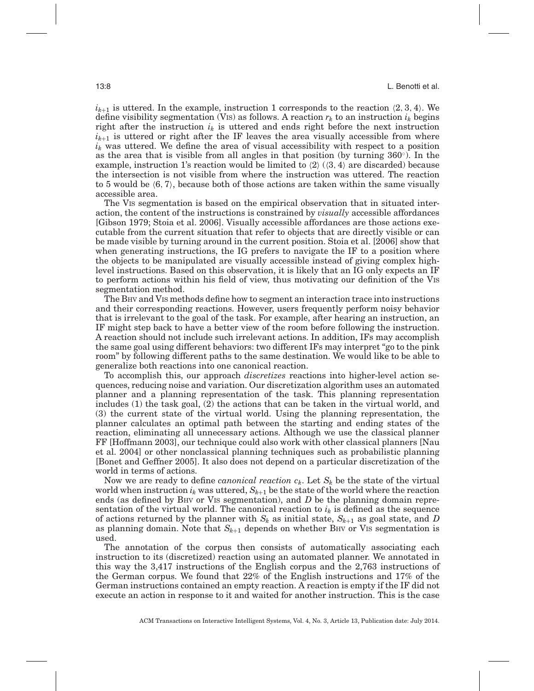$i_{k+1}$  is uttered. In the example, instruction 1 corresponds to the reaction  $(2, 3, 4)$ . We define visibility segmentation (V<sub>IS</sub>) as follows. A reaction  $r_k$  to an instruction  $i_k$  begins right after the instruction  $i_k$  is uttered and ends right before the next instruction  $i_{k+1}$  is uttered or right after the IF leaves the area visually accessible from where *ik* was uttered. We define the area of visual accessibility with respect to a position as the area that is visible from all angles in that position (by turning  $360°$ ). In the example, instruction 1's reaction would be limited to  $\langle 2 \rangle$   $(\langle 3, 4 \rangle)$  are discarded) because the intersection is not visible from where the instruction was uttered. The reaction to 5 would be  $(6, 7)$ , because both of those actions are taken within the same visually accessible area.

The VIS segmentation is based on the empirical observation that in situated interaction, the content of the instructions is constrained by *visually* accessible affordances [Gibson [1979;](#page-19-6) Stoia et al. [2006\]](#page-21-3). Visually accessible affordances are those actions executable from the current situation that refer to objects that are directly visible or can be made visible by turning around in the current position. Stoia et al. [\[2006\]](#page-21-3) show that when generating instructions, the IG prefers to navigate the IF to a position where the objects to be manipulated are visually accessible instead of giving complex highlevel instructions. Based on this observation, it is likely that an IG only expects an IF to perform actions within his field of view, thus motivating our definition of the VIS segmentation method.

The BHV and VIS methods define how to segment an interaction trace into instructions and their corresponding reactions. However, users frequently perform noisy behavior that is irrelevant to the goal of the task. For example, after hearing an instruction, an IF might step back to have a better view of the room before following the instruction. A reaction should not include such irrelevant actions. In addition, IFs may accomplish the same goal using different behaviors: two different IFs may interpret "go to the pink room" by following different paths to the same destination. We would like to be able to generalize both reactions into one canonical reaction.

To accomplish this, our approach *discretizes* reactions into higher-level action sequences, reducing noise and variation. Our discretization algorithm uses an automated planner and a planning representation of the task. This planning representation includes (1) the task goal, (2) the actions that can be taken in the virtual world, and (3) the current state of the virtual world. Using the planning representation, the planner calculates an optimal path between the starting and ending states of the reaction, eliminating all unnecessary actions. Although we use the classical planner FF [Hoffmann [2003\]](#page-19-7), our technique could also work with other classical planners [Nau et al. [2004\]](#page-20-6) or other nonclassical planning techniques such as probabilistic planning [Bonet and Geffner [2005\]](#page-19-8). It also does not depend on a particular discretization of the world in terms of actions.

Now we are ready to define *canonical reaction ck*. Let *Sk* be the state of the virtual world when instruction  $i_k$  was uttered,  $S_{k+1}$  be the state of the world where the reaction ends (as defined by BHV or VIS segmentation), and *D* be the planning domain representation of the virtual world. The canonical reaction to  $i_k$  is defined as the sequence of actions returned by the planner with  $S_k$  as initial state,  $S_{k+1}$  as goal state, and *D* as planning domain. Note that  $S_{k+1}$  depends on whether BHV or VIS segmentation is used.

The annotation of the corpus then consists of automatically associating each instruction to its (discretized) reaction using an automated planner. We annotated in this way the 3,417 instructions of the English corpus and the 2,763 instructions of the German corpus. We found that 22% of the English instructions and 17% of the German instructions contained an empty reaction. A reaction is empty if the IF did not execute an action in response to it and waited for another instruction. This is the case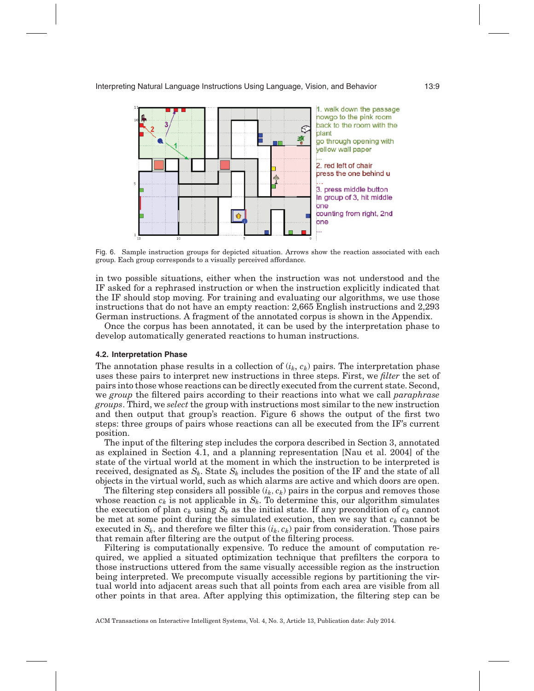<span id="page-8-0"></span>

Fig. 6. Sample instruction groups for depicted situation. Arrows show the reaction associated with each group. Each group corresponds to a visually perceived affordance.

in two possible situations, either when the instruction was not understood and the IF asked for a rephrased instruction or when the instruction explicitly indicated that the IF should stop moving. For training and evaluating our algorithms, we use those instructions that do not have an empty reaction: 2,665 English instructions and 2,293 German instructions. A fragment of the annotated corpus is shown in the Appendix.

Once the corpus has been annotated, it can be used by the interpretation phase to develop automatically generated reactions to human instructions.

#### **4.2. Interpretation Phase**

The annotation phase results in a collection of  $(i_k, c_k)$  pairs. The interpretation phase uses these pairs to interpret new instructions in three steps. First, we *filter* the set of pairs into those whose reactions can be directly executed from the current state. Second, we *group* the filtered pairs according to their reactions into what we call *paraphrase groups*. Third, we *select* the group with instructions most similar to the new instruction and then output that group's reaction. Figure [6](#page-8-0) shows the output of the first two steps: three groups of pairs whose reactions can all be executed from the IF's current position.

The input of the filtering step includes the corpora described in Section [3,](#page-4-0) annotated as explained in Section [4.1,](#page-6-2) and a planning representation [Nau et al. [2004\]](#page-20-6) of the state of the virtual world at the moment in which the instruction to be interpreted is received, designated as  $S_k$ . State  $S_k$  includes the position of the IF and the state of all objects in the virtual world, such as which alarms are active and which doors are open.

The filtering step considers all possible  $(i_k, c_k)$  pairs in the corpus and removes those whose reaction  $c_k$  is not applicable in  $S_k$ . To determine this, our algorithm simulates the execution of plan  $c_k$  using  $S_k$  as the initial state. If any precondition of  $c_k$  cannot be met at some point during the simulated execution, then we say that  $c_k$  cannot be executed in  $S_k$ , and therefore we filter this  $(i_k, c_k)$  pair from consideration. Those pairs that remain after filtering are the output of the filtering process.

Filtering is computationally expensive. To reduce the amount of computation required, we applied a situated optimization technique that prefilters the corpora to those instructions uttered from the same visually accessible region as the instruction being interpreted. We precompute visually accessible regions by partitioning the virtual world into adjacent areas such that all points from each area are visible from all other points in that area. After applying this optimization, the filtering step can be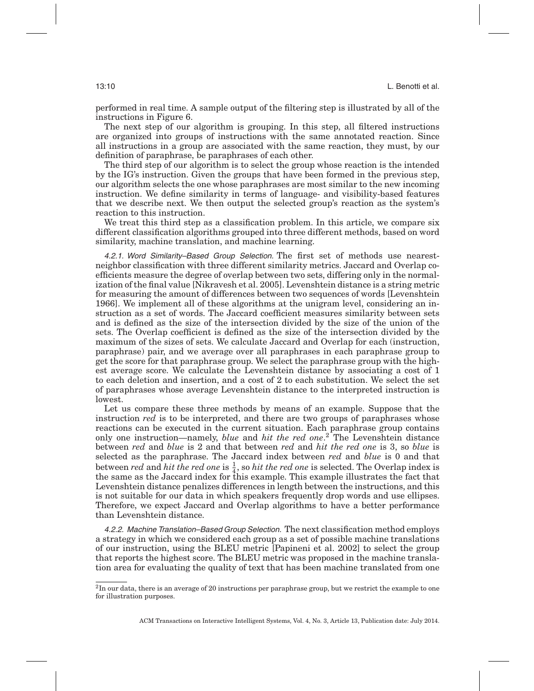performed in real time. A sample output of the filtering step is illustrated by all of the instructions in Figure [6.](#page-8-0)

The next step of our algorithm is grouping. In this step, all filtered instructions are organized into groups of instructions with the same annotated reaction. Since all instructions in a group are associated with the same reaction, they must, by our definition of paraphrase, be paraphrases of each other.

The third step of our algorithm is to select the group whose reaction is the intended by the IG's instruction. Given the groups that have been formed in the previous step, our algorithm selects the one whose paraphrases are most similar to the new incoming instruction. We define similarity in terms of language- and visibility-based features that we describe next. We then output the selected group's reaction as the system's reaction to this instruction.

We treat this third step as a classification problem. In this article, we compare six different classification algorithms grouped into three different methods, based on word similarity, machine translation, and machine learning.

4.2.1. Word Similarity–Based Group Selection. The first set of methods use nearestneighbor classification with three different similarity metrics. Jaccard and Overlap coefficients measure the degree of overlap between two sets, differing only in the normalization of the final value [Nikravesh et al. [2005\]](#page-20-7). Levenshtein distance is a string metric for measuring the amount of differences between two sequences of words [Levenshtein [1966\]](#page-20-8). We implement all of these algorithms at the unigram level, considering an instruction as a set of words. The Jaccard coefficient measures similarity between sets and is defined as the size of the intersection divided by the size of the union of the sets. The Overlap coefficient is defined as the size of the intersection divided by the maximum of the sizes of sets. We calculate Jaccard and Overlap for each (instruction, paraphrase) pair, and we average over all paraphrases in each paraphrase group to get the score for that paraphrase group. We select the paraphrase group with the highest average score. We calculate the Levenshtein distance by associating a cost of 1 to each deletion and insertion, and a cost of 2 to each substitution. We select the set of paraphrases whose average Levenshtein distance to the interpreted instruction is lowest.

Let us compare these three methods by means of an example. Suppose that the instruction *red* is to be interpreted, and there are two groups of paraphrases whose reactions can be executed in the current situation. Each paraphrase group contains only one instruction—namely, *blue* and *hit the red one*. [2](#page-9-0) The Levenshtein distance between *red* and *blue* is 2 and that between *red* and *hit the red one* is 3, so *blue* is selected as the paraphrase. The Jaccard index between *red* and *blue* is 0 and that between *red* and *hit the red one* is  $\frac{1}{4}$ , so *hit the red one* is selected. The Overlap index is the same as the Jaccard index for this example. This example illustrates the fact that Levenshtein distance penalizes differences in length between the instructions, and this is not suitable for our data in which speakers frequently drop words and use ellipses. Therefore, we expect Jaccard and Overlap algorithms to have a better performance than Levenshtein distance.

4.2.2. Machine Translation–Based Group Selection. The next classification method employs a strategy in which we considered each group as a set of possible machine translations of our instruction, using the BLEU metric [Papineni et al. [2002\]](#page-20-9) to select the group that reports the highest score. The BLEU metric was proposed in the machine translation area for evaluating the quality of text that has been machine translated from one

<span id="page-9-0"></span><sup>&</sup>lt;sup>2</sup>In our data, there is an average of 20 instructions per paraphrase group, but we restrict the example to one for illustration purposes.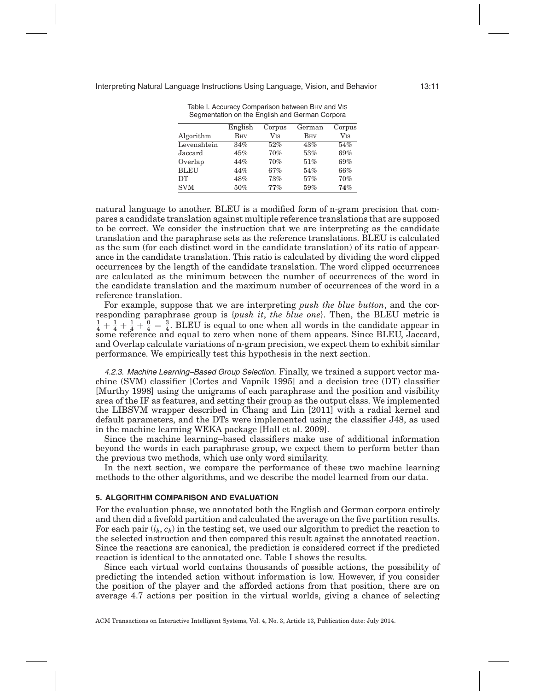<span id="page-10-1"></span>

|             | English    | Corpus | German     | Corpus |
|-------------|------------|--------|------------|--------|
| Algorithm   | <b>BHV</b> | Vis    | <b>BHV</b> | Vis    |
| Levenshtein | 34%        | 52%    | 43%        | 54%    |
| Jaccard     | 45%        | 70%    | 53%        | 69%    |
| Overlap     | 44%        | 70%    | 51%        | 69%    |
| <b>BLEU</b> | 44%        | 67%    | 54%        | 66%    |
| <b>DT</b>   | 48%        | 73%    | 57%        | 70%    |
| <b>SVM</b>  | 50%        | 77%    | 59%        | 74%    |

Table I. Accuracy Comparison between BHV and VIS Segmentation on the English and German Corpora

natural language to another. BLEU is a modified form of n-gram precision that compares a candidate translation against multiple reference translations that are supposed to be correct. We consider the instruction that we are interpreting as the candidate translation and the paraphrase sets as the reference translations. BLEU is calculated as the sum (for each distinct word in the candidate translation) of its ratio of appearance in the candidate translation. This ratio is calculated by dividing the word clipped occurrences by the length of the candidate translation. The word clipped occurrences are calculated as the minimum between the number of occurrences of the word in the candidate translation and the maximum number of occurrences of the word in a reference translation.

For example, suppose that we are interpreting *push the blue button*, and the corresponding paraphrase group is {*push it*, *the blue one*}. Then, the BLEU metric is  $\frac{1}{4} + \frac{1}{4} + \frac{1}{4} + \frac{0}{4} = \frac{3}{4}$ . BLEU is equal to one when all words in the candidate appear in some reference and equal to zero when none of them appears. Since BLEU, Jaccard, and Overlap calculate variations of n-gram precision, we expect them to exhibit similar performance. We empirically test this hypothesis in the next section.

4.2.3. Machine Learning–Based Group Selection. Finally, we trained a support vector machine (SVM) classifier [Cortes and Vapnik [1995\]](#page-19-9) and a decision tree (DT) classifier [Murthy [1998\]](#page-20-10) using the unigrams of each paraphrase and the position and visibility area of the IF as features, and setting their group as the output class. We implemented the LIBSVM wrapper described in Chang and Lin [\[2011\]](#page-19-10) with a radial kernel and default parameters, and the DTs were implemented using the classifier J48, as used in the machine learning WEKA package [Hall et al. [2009\]](#page-19-11).

Since the machine learning–based classifiers make use of additional information beyond the words in each paraphrase group, we expect them to perform better than the previous two methods, which use only word similarity.

In the next section, we compare the performance of these two machine learning methods to the other algorithms, and we describe the model learned from our data.

#### **5. ALGORITHM COMPARISON AND EVALUATION**

<span id="page-10-0"></span>For the evaluation phase, we annotated both the English and German corpora entirely and then did a fivefold partition and calculated the average on the five partition results. For each pair  $(i_k, c_k)$  in the testing set, we used our algorithm to predict the reaction to the selected instruction and then compared this result against the annotated reaction. Since the reactions are canonical, the prediction is considered correct if the predicted reaction is identical to the annotated one. Table [I](#page-10-1) shows the results.

Since each virtual world contains thousands of possible actions, the possibility of predicting the intended action without information is low. However, if you consider the position of the player and the afforded actions from that position, there are on average 4.7 actions per position in the virtual worlds, giving a chance of selecting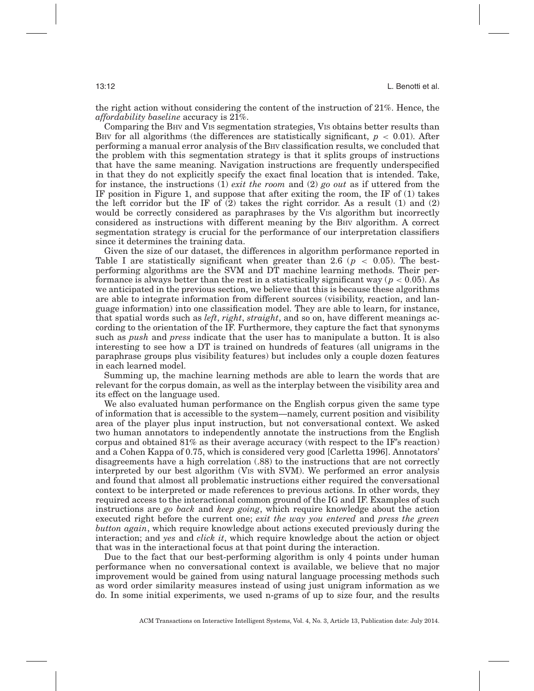the right action without considering the content of the instruction of 21%. Hence, the *affordability baseline* accuracy is 21%.

Comparing the BHV and VIS segmentation strategies, VIS obtains better results than BHV for all algorithms (the differences are statistically significant,  $p < 0.01$ ). After performing a manual error analysis of the BHV classification results, we concluded that the problem with this segmentation strategy is that it splits groups of instructions that have the same meaning. Navigation instructions are frequently underspecified in that they do not explicitly specify the exact final location that is intended. Take, for instance, the instructions (1) *exit the room* and (2) *go out* as if uttered from the IF position in Figure [1,](#page-3-0) and suppose that after exiting the room, the IF of (1) takes the left corridor but the IF of  $(2)$  takes the right corridor. As a result  $(1)$  and  $(2)$ would be correctly considered as paraphrases by the VIS algorithm but incorrectly considered as instructions with different meaning by the BHV algorithm. A correct segmentation strategy is crucial for the performance of our interpretation classifiers since it determines the training data.

Given the size of our dataset, the differences in algorithm performance reported in Table [I](#page-10-1) are statistically significant when greater than 2.6 ( $p < 0.05$ ). The bestperforming algorithms are the SVM and DT machine learning methods. Their performance is always better than the rest in a statistically significant way ( $p < 0.05$ ). As we anticipated in the previous section, we believe that this is because these algorithms are able to integrate information from different sources (visibility, reaction, and language information) into one classification model. They are able to learn, for instance, that spatial words such as *left*, *right*, *straight*, and so on, have different meanings according to the orientation of the IF. Furthermore, they capture the fact that synonyms such as *push* and *press* indicate that the user has to manipulate a button. It is also interesting to see how a DT is trained on hundreds of features (all unigrams in the paraphrase groups plus visibility features) but includes only a couple dozen features in each learned model.

Summing up, the machine learning methods are able to learn the words that are relevant for the corpus domain, as well as the interplay between the visibility area and its effect on the language used.

We also evaluated human performance on the English corpus given the same type of information that is accessible to the system—namely, current position and visibility area of the player plus input instruction, but not conversational context. We asked two human annotators to independently annotate the instructions from the English corpus and obtained 81% as their average accuracy (with respect to the IF's reaction) and a Cohen Kappa of 0.75, which is considered very good [Carletta [1996\]](#page-19-12). Annotators' disagreements have a high correlation (.88) to the instructions that are not correctly interpreted by our best algorithm (VIS with SVM). We performed an error analysis and found that almost all problematic instructions either required the conversational context to be interpreted or made references to previous actions. In other words, they required access to the interactional common ground of the IG and IF. Examples of such instructions are *go back* and *keep going*, which require knowledge about the action executed right before the current one; *exit the way you entered* and *press the green button again*, which require knowledge about actions executed previously during the interaction; and *yes* and *click it*, which require knowledge about the action or object that was in the interactional focus at that point during the interaction.

Due to the fact that our best-performing algorithm is only 4 points under human performance when no conversational context is available, we believe that no major improvement would be gained from using natural language processing methods such as word order similarity measures instead of using just unigram information as we do. In some initial experiments, we used n-grams of up to size four, and the results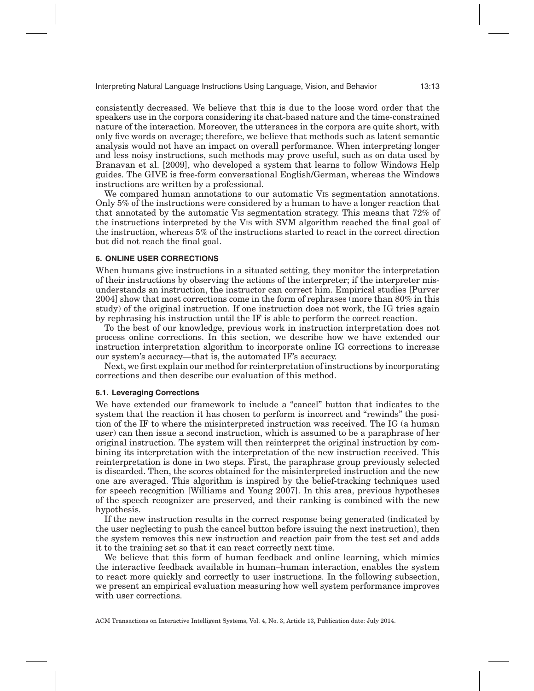consistently decreased. We believe that this is due to the loose word order that the speakers use in the corpora considering its chat-based nature and the time-constrained nature of the interaction. Moreover, the utterances in the corpora are quite short, with only five words on average; therefore, we believe that methods such as latent semantic analysis would not have an impact on overall performance. When interpreting longer and less noisy instructions, such methods may prove useful, such as on data used by Branavan et al. [\[2009\]](#page-19-0), who developed a system that learns to follow Windows Help guides. The GIVE is free-form conversational English/German, whereas the Windows instructions are written by a professional.

We compared human annotations to our automatic VIS segmentation annotations. Only 5% of the instructions were considered by a human to have a longer reaction that that annotated by the automatic VIS segmentation strategy. This means that 72% of the instructions interpreted by the VIS with SVM algorithm reached the final goal of the instruction, whereas 5% of the instructions started to react in the correct direction but did not reach the final goal.

#### **6. ONLINE USER CORRECTIONS**

<span id="page-12-0"></span>When humans give instructions in a situated setting, they monitor the interpretation of their instructions by observing the actions of the interpreter; if the interpreter misunderstands an instruction, the instructor can correct him. Empirical studies [Purver [2004\]](#page-20-11) show that most corrections come in the form of rephrases (more than 80% in this study) of the original instruction. If one instruction does not work, the IG tries again by rephrasing his instruction until the IF is able to perform the correct reaction.

To the best of our knowledge, previous work in instruction interpretation does not process online corrections. In this section, we describe how we have extended our instruction interpretation algorithm to incorporate online IG corrections to increase our system's accuracy—that is, the automated IF's accuracy.

Next, we first explain our method for reinterpretation of instructions by incorporating corrections and then describe our evaluation of this method.

## **6.1. Leveraging Corrections**

We have extended our framework to include a "cancel" button that indicates to the system that the reaction it has chosen to perform is incorrect and "rewinds" the position of the IF to where the misinterpreted instruction was received. The IG (a human user) can then issue a second instruction, which is assumed to be a paraphrase of her original instruction. The system will then reinterpret the original instruction by combining its interpretation with the interpretation of the new instruction received. This reinterpretation is done in two steps. First, the paraphrase group previously selected is discarded. Then, the scores obtained for the misinterpreted instruction and the new one are averaged. This algorithm is inspired by the belief-tracking techniques used for speech recognition [Williams and Young [2007\]](#page-21-4). In this area, previous hypotheses of the speech recognizer are preserved, and their ranking is combined with the new hypothesis.

If the new instruction results in the correct response being generated (indicated by the user neglecting to push the cancel button before issuing the next instruction), then the system removes this new instruction and reaction pair from the test set and adds it to the training set so that it can react correctly next time.

We believe that this form of human feedback and online learning, which mimics the interactive feedback available in human–human interaction, enables the system to react more quickly and correctly to user instructions. In the following subsection, we present an empirical evaluation measuring how well system performance improves with user corrections.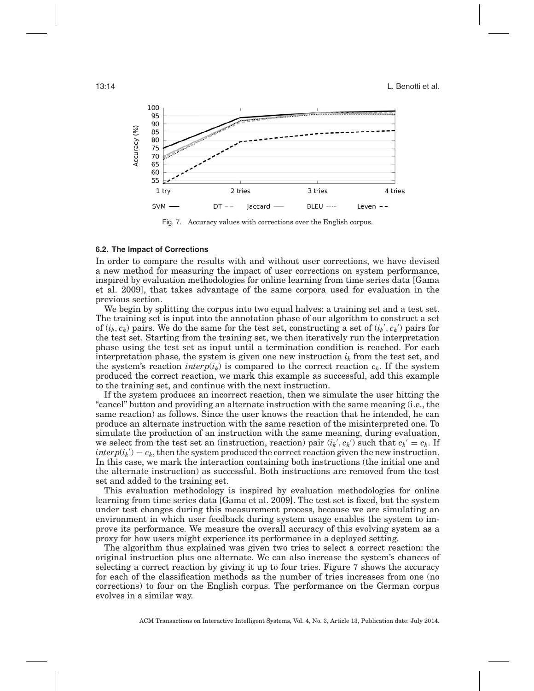<span id="page-13-0"></span>

Fig. 7. Accuracy values with corrections over the English corpus.

#### **6.2. The Impact of Corrections**

In order to compare the results with and without user corrections, we have devised a new method for measuring the impact of user corrections on system performance, inspired by evaluation methodologies for online learning from time series data [Gama et al. [2009\]](#page-19-13), that takes advantage of the same corpora used for evaluation in the previous section.

We begin by splitting the corpus into two equal halves: a training set and a test set. The training set is input into the annotation phase of our algorithm to construct a set of  $(i_k, c_k)$  pairs. We do the same for the test set, constructing a set of  $(i_k', c_k')$  pairs for the test set. Starting from the training set, we then iteratively run the interpretation phase using the test set as input until a termination condition is reached. For each interpretation phase, the system is given one new instruction  $i_k$  from the test set, and the system's reaction *interp* $(i_k)$  is compared to the correct reaction  $c_k$ . If the system produced the correct reaction, we mark this example as successful, add this example to the training set, and continue with the next instruction.

If the system produces an incorrect reaction, then we simulate the user hitting the "cancel" button and providing an alternate instruction with the same meaning (i.e., the same reaction) as follows. Since the user knows the reaction that he intended, he can produce an alternate instruction with the same reaction of the misinterpreted one. To simulate the production of an instruction with the same meaning, during evaluation, we select from the test set an (instruction, reaction) pair  $(i_k', c_k')$  such that  $c_k' = c_k$ . If  $interp(i_k') = c_k$ , then the system produced the correct reaction given the new instruction. In this case, we mark the interaction containing both instructions (the initial one and the alternate instruction) as successful. Both instructions are removed from the test set and added to the training set.

This evaluation methodology is inspired by evaluation methodologies for online learning from time series data [Gama et al. [2009\]](#page-19-13). The test set is fixed, but the system under test changes during this measurement process, because we are simulating an environment in which user feedback during system usage enables the system to improve its performance. We measure the overall accuracy of this evolving system as a proxy for how users might experience its performance in a deployed setting.

The algorithm thus explained was given two tries to select a correct reaction: the original instruction plus one alternate. We can also increase the system's chances of selecting a correct reaction by giving it up to four tries. Figure [7](#page-13-0) shows the accuracy for each of the classification methods as the number of tries increases from one (no corrections) to four on the English corpus. The performance on the German corpus evolves in a similar way.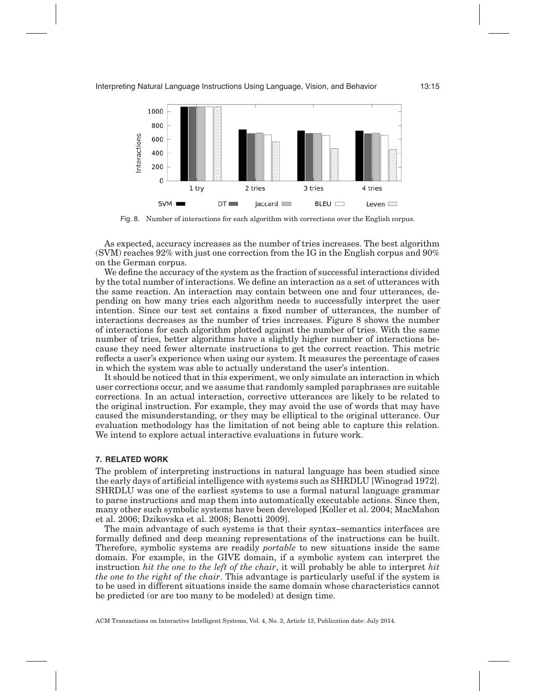<span id="page-14-1"></span>

Fig. 8. Number of interactions for each algorithm with corrections over the English corpus.

As expected, accuracy increases as the number of tries increases. The best algorithm (SVM) reaches 92% with just one correction from the IG in the English corpus and 90% on the German corpus.

We define the accuracy of the system as the fraction of successful interactions divided by the total number of interactions. We define an interaction as a set of utterances with the same reaction. An interaction may contain between one and four utterances, depending on how many tries each algorithm needs to successfully interpret the user intention. Since our test set contains a fixed number of utterances, the number of interactions decreases as the number of tries increases. Figure [8](#page-14-1) shows the number of interactions for each algorithm plotted against the number of tries. With the same number of tries, better algorithms have a slightly higher number of interactions because they need fewer alternate instructions to get the correct reaction. This metric reflects a user's experience when using our system. It measures the percentage of cases in which the system was able to actually understand the user's intention.

It should be noticed that in this experiment, we only simulate an interaction in which user corrections occur, and we assume that randomly sampled paraphrases are suitable corrections. In an actual interaction, corrective utterances are likely to be related to the original instruction. For example, they may avoid the use of words that may have caused the misunderstanding, or they may be elliptical to the original utterance. Our evaluation methodology has the limitation of not being able to capture this relation. We intend to explore actual interactive evaluations in future work.

#### **7. RELATED WORK**

<span id="page-14-0"></span>The problem of interpreting instructions in natural language has been studied since the early days of artificial intelligence with systems such as SHRDLU [Winograd [1972\]](#page-21-0). SHRDLU was one of the earliest systems to use a formal natural language grammar to parse instructions and map them into automatically executable actions. Since then, many other such symbolic systems have been developed [Koller et al. [2004;](#page-20-12) MacMahon et al. [2006;](#page-20-3) Dzikovska et al. [2008;](#page-19-2) Benotti 2009].

The main advantage of such systems is that their syntax–semantics interfaces are formally defined and deep meaning representations of the instructions can be built. Therefore, symbolic systems are readily *portable* to new situations inside the same domain. For example, in the GIVE domain, if a symbolic system can interpret the instruction *hit the one to the left of the chair*, it will probably be able to interpret *hit the one to the right of the chair*. This advantage is particularly useful if the system is to be used in different situations inside the same domain whose characteristics cannot be predicted (or are too many to be modeled) at design time.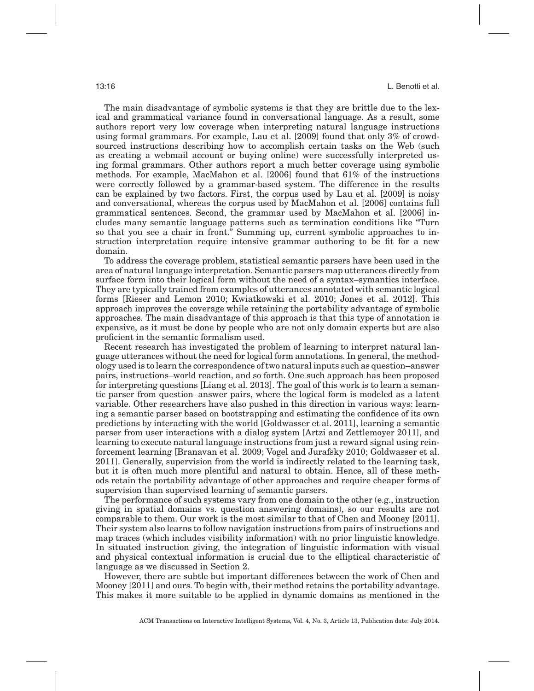The main disadvantage of symbolic systems is that they are brittle due to the lexical and grammatical variance found in conversational language. As a result, some authors report very low coverage when interpreting natural language instructions using formal grammars. For example, Lau et al. [\[2009\]](#page-20-0) found that only 3% of crowdsourced instructions describing how to accomplish certain tasks on the Web (such as creating a webmail account or buying online) were successfully interpreted using formal grammars. Other authors report a much better coverage using symbolic methods. For example, MacMahon et al. [\[2006\]](#page-20-3) found that 61% of the instructions were correctly followed by a grammar-based system. The difference in the results can be explained by two factors. First, the corpus used by Lau et al. [\[2009\]](#page-20-0) is noisy and conversational, whereas the corpus used by MacMahon et al. [\[2006\]](#page-20-3) contains full grammatical sentences. Second, the grammar used by MacMahon et al. [\[2006\]](#page-20-3) includes many semantic language patterns such as termination conditions like "Turn so that you see a chair in front." Summing up, current symbolic approaches to instruction interpretation require intensive grammar authoring to be fit for a new domain.

To address the coverage problem, statistical semantic parsers have been used in the area of natural language interpretation. Semantic parsers map utterances directly from surface form into their logical form without the need of a syntax–symantics interface. They are typically trained from examples of utterances annotated with semantic logical forms [Rieser and Lemon [2010;](#page-21-2) Kwiatkowski et al. [2010;](#page-20-13) Jones et al. [2012\]](#page-20-14). This approach improves the coverage while retaining the portability advantage of symbolic approaches. The main disadvantage of this approach is that this type of annotation is expensive, as it must be done by people who are not only domain experts but are also proficient in the semantic formalism used.

Recent research has investigated the problem of learning to interpret natural language utterances without the need for logical form annotations. In general, the methodology used is to learn the correspondence of two natural inputs such as question–answer pairs, instructions–world reaction, and so forth. One such approach has been proposed for interpreting questions [Liang et al. [2013\]](#page-20-15). The goal of this work is to learn a semantic parser from question–answer pairs, where the logical form is modeled as a latent variable. Other researchers have also pushed in this direction in various ways: learning a semantic parser based on bootstrapping and estimating the confidence of its own predictions by interacting with the world [Goldwasser et al. [2011\]](#page-19-14), learning a semantic parser from user interactions with a dialog system [Artzi and Zettlemoyer 2011], and learning to execute natural language instructions from just a reward signal using reinforcement learning [Branavan et al. [2009;](#page-19-0) Vogel and Jurafsky [2010;](#page-21-1) Goldwasser et al. [2011\]](#page-19-14). Generally, supervision from the world is indirectly related to the learning task, but it is often much more plentiful and natural to obtain. Hence, all of these methods retain the portability advantage of other approaches and require cheaper forms of supervision than supervised learning of semantic parsers.

The performance of such systems vary from one domain to the other (e.g., instruction giving in spatial domains vs. question answering domains), so our results are not comparable to them. Our work is the most similar to that of Chen and Mooney [\[2011\]](#page-19-1). Their system also learns to follow navigation instructions from pairs of instructions and map traces (which includes visibility information) with no prior linguistic knowledge. In situated instruction giving, the integration of linguistic information with visual and physical contextual information is crucial due to the elliptical characteristic of language as we discussed in Section [2.](#page-2-0)

However, there are subtle but important differences between the work of Chen and Mooney [\[2011\]](#page-19-1) and ours. To begin with, their method retains the portability advantage. This makes it more suitable to be applied in dynamic domains as mentioned in the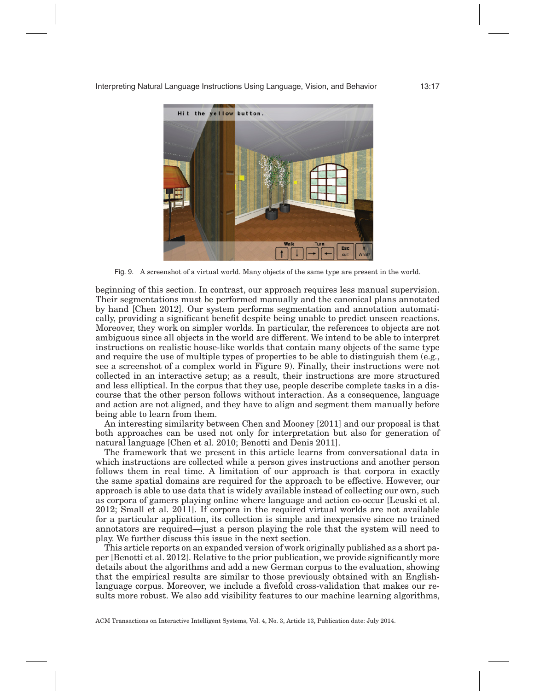<span id="page-16-0"></span>

Fig. 9. A screenshot of a virtual world. Many objects of the same type are present in the world.

beginning of this section. In contrast, our approach requires less manual supervision. Their segmentations must be performed manually and the canonical plans annotated by hand [Chen [2012\]](#page-19-15). Our system performs segmentation and annotation automatically, providing a significant benefit despite being unable to predict unseen reactions. Moreover, they work on simpler worlds. In particular, the references to objects are not ambiguous since all objects in the world are different. We intend to be able to interpret instructions on realistic house-like worlds that contain many objects of the same type and require the use of multiple types of properties to be able to distinguish them (e.g., see a screenshot of a complex world in Figure [9\)](#page-16-0). Finally, their instructions were not collected in an interactive setup; as a result, their instructions are more structured and less elliptical. In the corpus that they use, people describe complete tasks in a discourse that the other person follows without interaction. As a consequence, language and action are not aligned, and they have to align and segment them manually before being able to learn from them.

An interesting similarity between Chen and Mooney [\[2011\]](#page-19-1) and our proposal is that both approaches can be used not only for interpretation but also for generation of natural language [Chen et al. [2010;](#page-19-16) Benotti and Denis [2011\]](#page-19-17).

The framework that we present in this article learns from conversational data in which instructions are collected while a person gives instructions and another person follows them in real time. A limitation of our approach is that corpora in exactly the same spatial domains are required for the approach to be effective. However, our approach is able to use data that is widely available instead of collecting our own, such as corpora of gamers playing online where language and action co-occur [Leuski et al. [2012;](#page-20-16) Small et al. [2011\]](#page-21-5). If corpora in the required virtual worlds are not available for a particular application, its collection is simple and inexpensive since no trained annotators are required—just a person playing the role that the system will need to play. We further discuss this issue in the next section.

This article reports on an expanded version of work originally published as a short paper [Benotti et al. [2012\]](#page-19-18). Relative to the prior publication, we provide significantly more details about the algorithms and add a new German corpus to the evaluation, showing that the empirical results are similar to those previously obtained with an Englishlanguage corpus. Moreover, we include a fivefold cross-validation that makes our results more robust. We also add visibility features to our machine learning algorithms,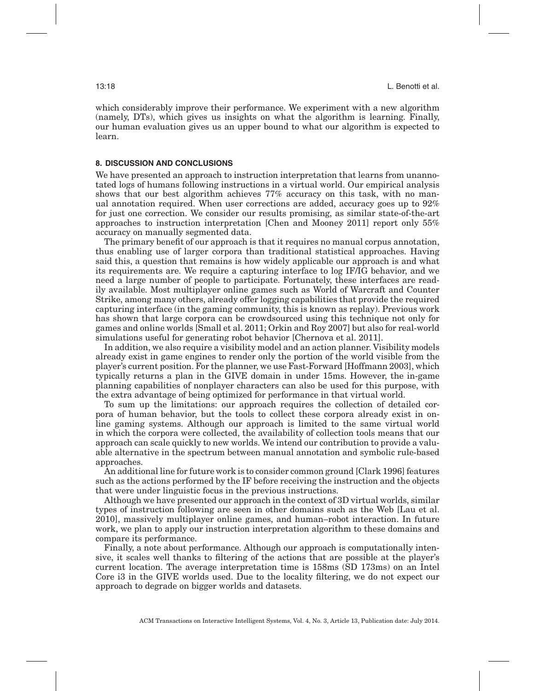which considerably improve their performance. We experiment with a new algorithm (namely, DTs), which gives us insights on what the algorithm is learning. Finally, our human evaluation gives us an upper bound to what our algorithm is expected to learn.

## **8. DISCUSSION AND CONCLUSIONS**

<span id="page-17-0"></span>We have presented an approach to instruction interpretation that learns from unannotated logs of humans following instructions in a virtual world. Our empirical analysis shows that our best algorithm achieves 77% accuracy on this task, with no manual annotation required. When user corrections are added, accuracy goes up to 92% for just one correction. We consider our results promising, as similar state-of-the-art approaches to instruction interpretation [Chen and Mooney [2011\]](#page-19-1) report only 55% accuracy on manually segmented data.

The primary benefit of our approach is that it requires no manual corpus annotation, thus enabling use of larger corpora than traditional statistical approaches. Having said this, a question that remains is how widely applicable our approach is and what its requirements are. We require a capturing interface to log IF/IG behavior, and we need a large number of people to participate. Fortunately, these interfaces are readily available. Most multiplayer online games such as World of Warcraft and Counter Strike, among many others, already offer logging capabilities that provide the required capturing interface (in the gaming community, this is known as replay). Previous work has shown that large corpora can be crowdsourced using this technique not only for games and online worlds [Small et al. [2011;](#page-21-5) Orkin and Roy [2007\]](#page-20-17) but also for real-world simulations useful for generating robot behavior [Chernova et al. [2011\]](#page-19-19).

In addition, we also require a visibility model and an action planner. Visibility models already exist in game engines to render only the portion of the world visible from the player's current position. For the planner, we use Fast-Forward [Hoffmann [2003\]](#page-19-7), which typically returns a plan in the GIVE domain in under 15ms. However, the in-game planning capabilities of nonplayer characters can also be used for this purpose, with the extra advantage of being optimized for performance in that virtual world.

To sum up the limitations: our approach requires the collection of detailed corpora of human behavior, but the tools to collect these corpora already exist in online gaming systems. Although our approach is limited to the same virtual world in which the corpora were collected, the availability of collection tools means that our approach can scale quickly to new worlds. We intend our contribution to provide a valuable alternative in the spectrum between manual annotation and symbolic rule-based approaches.

An additional line for future work is to consider common ground [Clark [1996\]](#page-19-20) features such as the actions performed by the IF before receiving the instruction and the objects that were under linguistic focus in the previous instructions.

Although we have presented our approach in the context of 3D virtual worlds, similar types of instruction following are seen in other domains such as the Web [Lau et al. [2010\]](#page-20-18), massively multiplayer online games, and human–robot interaction. In future work, we plan to apply our instruction interpretation algorithm to these domains and compare its performance.

Finally, a note about performance. Although our approach is computationally intensive, it scales well thanks to filtering of the actions that are possible at the player's current location. The average interpretation time is 158ms (SD 173ms) on an Intel Core i3 in the GIVE worlds used. Due to the locality filtering, we do not expect our approach to degrade on bigger worlds and datasets.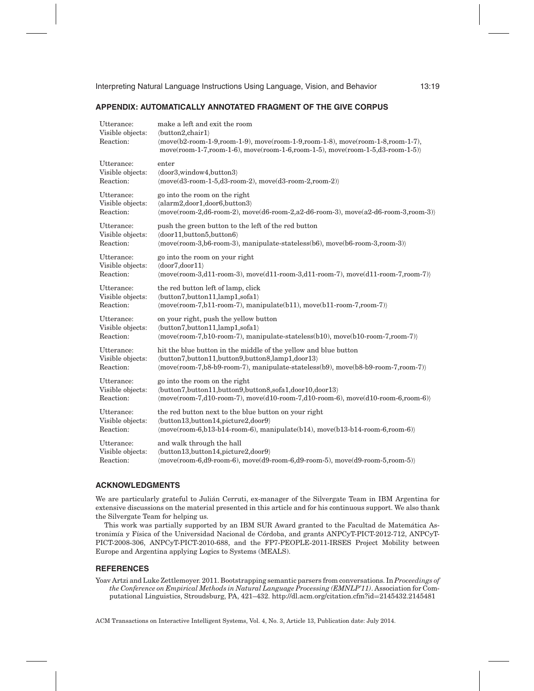## **APPENDIX: AUTOMATICALLY ANNOTATED FRAGMENT OF THE GIVE CORPUS**

| Utterance:<br>Visible objects:<br>Reaction: | make a left and exit the room<br>$\langle button2, chair1 \rangle$<br>$\langle move(b2-room-1-9, room-1-9), move(room-1-9, room-1-8), move(room-1-8, room-1-7),\rangle$<br>$move(room-1-7, room-1-6), move(room-1-6, room-1-5), move(room-1-5, d3-room-1-5)\rangle$ |
|---------------------------------------------|---------------------------------------------------------------------------------------------------------------------------------------------------------------------------------------------------------------------------------------------------------------------|
| Utterance:                                  | enter                                                                                                                                                                                                                                                               |
| Visible objects:                            | (door3,window4,button3)                                                                                                                                                                                                                                             |
| Reaction:                                   | $\langle move(d3-room-1-5,d3-room-2), move(d3-room-2,room-2) \rangle$                                                                                                                                                                                               |
| Utterance:                                  | go into the room on the right                                                                                                                                                                                                                                       |
| Visible objects:                            | $\langle$ alarm2,door1,door6,button3)                                                                                                                                                                                                                               |
| Reaction:                                   | $\langle move(room-2,d6-room-2), move(d6-room-2,a2-d6-room-3), move(a2-d6-room-3,room-3)\rangle$                                                                                                                                                                    |
| Utterance:                                  | push the green button to the left of the red button                                                                                                                                                                                                                 |
| Visible objects:                            | $\langle door11, but ton5, button6 \rangle$                                                                                                                                                                                                                         |
| Reaction:                                   | $\langle move(room-3, b6-room-3), manipulate-stateless(b6), move(b6-room-3, room-3) \rangle$                                                                                                                                                                        |
| Utterance:                                  | go into the room on your right                                                                                                                                                                                                                                      |
| Visible objects:                            | $\langle door7, door11 \rangle$                                                                                                                                                                                                                                     |
| Reaction:                                   | $\langle move(room-3,d11-room-3), move(d11-room-3,d11-room-7), move(d11-room-7,room-7) \rangle$                                                                                                                                                                     |
| Utterance:                                  | the red button left of lamp, click                                                                                                                                                                                                                                  |
| Visible objects:                            | $\langle$ button7,button11,lamp1,sofa1 $\rangle$                                                                                                                                                                                                                    |
| Reaction:                                   | $\langle move(room-7, b11-room-7), manipulate(b11), move(b11-room-7, room-7) \rangle$                                                                                                                                                                               |
| Utterance:                                  | on your right, push the yellow button                                                                                                                                                                                                                               |
| Visible objects:                            | $\langle$ button7,button11,lamp1,sofa1 $\rangle$                                                                                                                                                                                                                    |
| Reaction:                                   | $\langle move(room-7, b10-room-7), manipulate-stateless(b10), move(b10-room-7, room-7) \rangle$                                                                                                                                                                     |
| Utterance:                                  | hit the blue button in the middle of the yellow and blue button                                                                                                                                                                                                     |
| Visible objects:                            | (button7,button11,button9,button8,lamp1,door13)                                                                                                                                                                                                                     |
| Reaction:                                   | (move(room-7,b8-b9-room-7), manipulate-stateless(b9), move(b8-b9-room-7,room-7))                                                                                                                                                                                    |
| Utterance:                                  | go into the room on the right                                                                                                                                                                                                                                       |
| Visible objects:                            | (button7,button11,button9,button8,sofa1,door10,door13)                                                                                                                                                                                                              |
| Reaction:                                   | $\langle move(room-7, d10-room-7), move(d10-room-7, d10-room-6), move(d10-room-6, room-6) \rangle$                                                                                                                                                                  |
| Utterance:                                  | the red button next to the blue button on your right                                                                                                                                                                                                                |
| Visible objects:                            | $\langle button13, button14, picture2, door9 \rangle$                                                                                                                                                                                                               |
| Reaction:                                   | $\langle move(room-6,b13-b14-room-6), manipulate(b14), move(b13-b14-room-6, room-6) \rangle$                                                                                                                                                                        |
| Utterance:                                  | and walk through the hall                                                                                                                                                                                                                                           |
| Visible objects:                            | (button13,button14,picture2,door9)                                                                                                                                                                                                                                  |
| Reaction:                                   | $\langle move(room-6,d9-room-6), move(d9-room-6,d9-room-5), move(d9-room-5,room-5) \rangle$                                                                                                                                                                         |

## **ACKNOWLEDGMENTS**

We are particularly grateful to Julian Cerruti, ex-manager of the Silvergate Team in IBM Argentina for ´ extensive discussions on the material presented in this article and for his continuous support. We also thank the Silvergate Team for helping us.

This work was partially supported by an IBM SUR Award granted to the Facultad de Matematica As- ´ tronimía y Física of the Universidad Nacional de Córdoba, and grants ANPCyT-PICT-2012-712, ANPCyT-PICT-2008-306, ANPCyT-PICT-2010-688, and the FP7-PEOPLE-2011-IRSES Project Mobility between Europe and Argentina applying Logics to Systems (MEALS).

#### **REFERENCES**

Yoav Artzi and Luke Zettlemoyer. 2011. Bootstrapping semantic parsers from conversations. In *Proceedings of the Conference on Empirical Methods in Natural Language Processing (EMNLP'11)*. Association for Computational Linguistics, Stroudsburg, PA, 421–432. [http://dl.acm.org/citation.cfm?id](http://dl.acm.org/citation.cfm?id$=$2145432.2145481)=2145432.2145481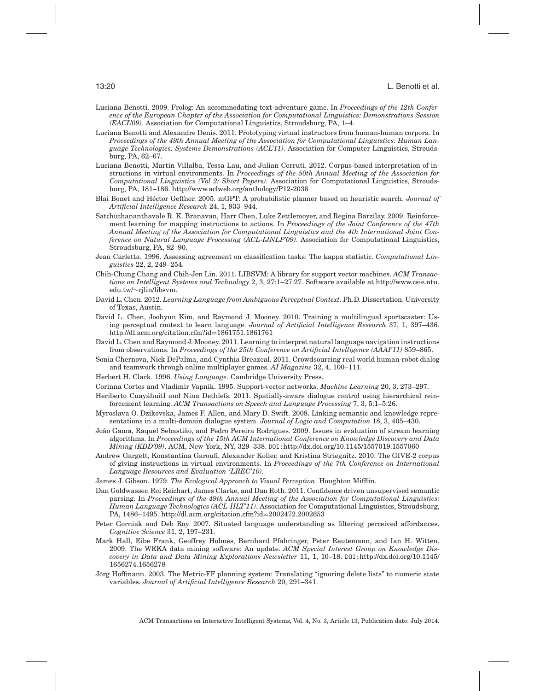- Luciana Benotti. 2009. Frolog: An accommodating text-adventure game. In *Proceedings of the 12th Conference of the European Chapter of the Association for Computational Linguistics: Demonstrations Session (EACL'09)*. Association for Computational Linguistics, Stroudsburg, PA, 1–4.
- <span id="page-19-17"></span>Luciana Benotti and Alexandre Denis. 2011. Prototyping virtual instructors from human-human corpora. In *Proceedings of the 49th Annual Meeting of the Association for Computational Linguistics: Human Language Technologies: Systems Demonstrations (ACL'11)*. Association for Computer Linguistics, Stroudsburg, PA, 62–67.
- <span id="page-19-18"></span>Luciana Benotti, Martin Villalba, Tessa Lau, and Julian Cerruti. 2012. Corpus-based interpretation of instructions in virtual environments. In *Proceedings of the 50th Annual Meeting of the Association for Computational Linguistics (Vol 2: Short Papers)*. Association for Computational Linguistics, Stroudsburg, PA, 181–186.<http://www.aclweb.org/anthology/P12-2036>
- <span id="page-19-8"></span>Blai Bonet and Héctor Geffner. 2005. mGPT: A probabilistic planner based on heuristic search. *Journal of Artificial Intelligence Research* 24, 1, 933–944.
- <span id="page-19-0"></span>Satchuthananthavale R. K. Branavan, Harr Chen, Luke Zettlemoyer, and Regina Barzilay. 2009. Reinforcement learning for mapping instructions to actions. In *Proceedings of the Joint Conference of the 47th Annual Meeting of the Association for Computational Linguistics and the 4th International Joint Conference on Natural Language Processing (ACL-IJNLP'09)*. Association for Computational Linguistics, Stroudsburg, PA, 82–90.
- <span id="page-19-12"></span>Jean Carletta. 1996. Assessing agreement on classification tasks: The kappa statistic. *Computational Linguistics* 22, 2, 249–254.
- <span id="page-19-10"></span>Chih-Chung Chang and Chih-Jen Lin. 2011. LIBSVM: A library for support vector machines. *ACM Transactions on Intelligent Systems and Technology* 2, 3, 27:1–27:27. Software available at [http://www.csie.ntu.](http://www.csie.ntu.edu.tw/sim;cjlin/libsvm.) edu.tw/∼[cjlin/libsvm.](http://www.csie.ntu.edu.tw/sim;cjlin/libsvm.)
- <span id="page-19-15"></span>David L. Chen. 2012. *Learning Language from Ambiguous Perceptual Context*. Ph.D. Dissertation. University of Texas, Austin.
- <span id="page-19-16"></span>David L. Chen, Joohyun Kim, and Raymond J. Mooney. 2010. Training a multilingual sportscaster: Using perceptual context to learn language. *Journal of Artificial Intelligence Research* 37, 1, 397–436. [http://dl.acm.org/citation.cfm?id](http://dl.acm.org/citation.cfm?id$=$1861751.1861761)=1861751.1861761
- <span id="page-19-1"></span>David L. Chen and Raymond J. Mooney. 2011. Learning to interpret natural language navigation instructions from observations. In *Proceedings of the 25th Conference on Artificial Intelligence (AAAI'11)* 859–865.
- <span id="page-19-19"></span>Sonia Chernova, Nick DePalma, and Cynthia Breazeal. 2011. Crowdsourcing real world human-robot dialog and teamwork through online multiplayer games. *AI Magazine* 32, 4, 100–111.
- <span id="page-19-20"></span>Herbert H. Clark. 1996. *Using Language*. Cambridge University Press.
- <span id="page-19-9"></span>Corinna Cortes and Vladimir Vapnik. 1995. Support-vector networks. *Machine Learning* 20, 3, 273–297.
- <span id="page-19-5"></span>Heriberto Cuayahuitl and Nina Dethlefs. 2011. Spatially-aware dialogue control using hierarchical rein- ´ forcement learning. *ACM Transactions on Speech and Language Processing* 7, 3, 5:1–5:26.
- <span id="page-19-2"></span>Myroslava O. Dzikovska, James F. Allen, and Mary D. Swift. 2008. Linking semantic and knowledge representations in a multi-domain dialogue system. *Journal of Logic and Computation* 18, 3, 405–430.
- <span id="page-19-13"></span>João Gama, Raquel Sebastião, and Pedro Pereira Rodrigues. 2009. Issues in evaluation of stream learning algorithms. In *Proceedings of the 15th ACM International Conference on Knowledge Discovery and Data Mining (KDD'09)*. ACM, New York, NY, 329–338. DOI:<http://dx.doi.org/10.1145/1557019.1557060>
- <span id="page-19-4"></span>Andrew Gargett, Konstantina Garoufi, Alexander Koller, and Kristina Striegnitz. 2010. The GIVE-2 corpus of giving instructions in virtual environments. In *Proceedings of the 7th Conference on International Language Resources and Evaluation (LREC'10).*
- <span id="page-19-6"></span>James J. Gibson. 1979. *The Ecological Approach to Visual Perception*. Houghton Mifflin.
- <span id="page-19-14"></span>Dan Goldwasser, Roi Reichart, James Clarke, and Dan Roth. 2011. Confidence driven unsupervised semantic parsing. In *Proceedings of the 49th Annual Meeting of the Association for Computational Linguistics: Human Language Technologies (ACL-HLT'11)*. Association for Computational Linguistics, Stroudsburg, PA, 1486–1495. [http://dl.acm.org/citation.cfm?id](http://dl.acm.org/citation.cfm?id$=$2002472.2002653)=2002472.2002653
- <span id="page-19-3"></span>Peter Gorniak and Deb Roy. 2007. Situated language understanding as filtering perceived affordances. *Cognitive Science* 31, 2, 197–231.
- <span id="page-19-11"></span>Mark Hall, Eibe Frank, Geoffrey Holmes, Bernhard Pfahringer, Peter Reutemann, and Ian H. Witten. 2009. The WEKA data mining software: An update. *ACM Special Interest Group on Knowledge Discovery in Data and Data Mining Explorations Newsletter* 11, 1, 10–18. DOI:[http://dx.doi.org/10.1145/](http://dx.doi.org/10.1145/1656274.1656278) [1656274.1656278](http://dx.doi.org/10.1145/1656274.1656278)
- <span id="page-19-7"></span>Jörg Hoffmann. 2003. The Metric-FF planning system: Translating "ignoring delete lists" to numeric state variables. *Journal of Artificial Intelligence Research* 20, 291–341.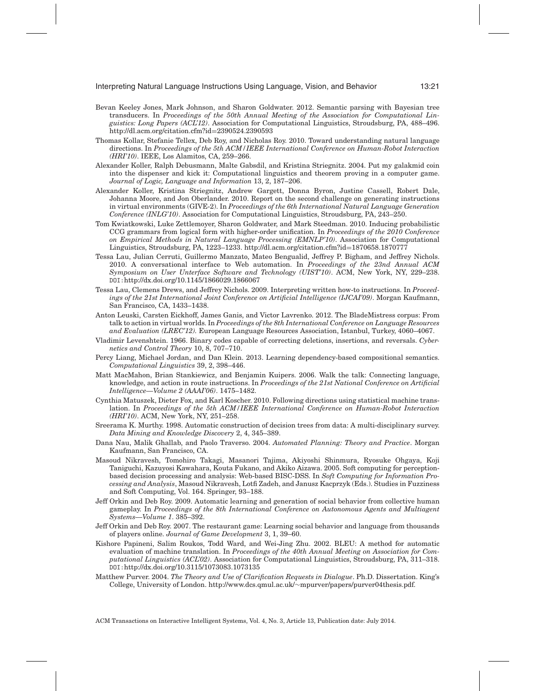- <span id="page-20-14"></span>Bevan Keeley Jones, Mark Johnson, and Sharon Goldwater. 2012. Semantic parsing with Bayesian tree transducers. In *Proceedings of the 50th Annual Meeting of the Association for Computational Linguistics: Long Papers (ACL'12)*. Association for Computational Linguistics, Stroudsburg, PA, 488–496. [http://dl.acm.org/citation.cfm?id](http://dl.acm.org/citation.cfm?id$=$2390524.2390593)=2390524.2390593
- <span id="page-20-2"></span>Thomas Kollar, Stefanie Tellex, Deb Roy, and Nicholas Roy. 2010. Toward understanding natural language directions. In *Proceedings of the 5th ACM/IEEE International Conference on Human-Robot Interaction (HRI'10)*. IEEE, Los Alamitos, CA, 259–266.
- <span id="page-20-12"></span>Alexander Koller, Ralph Debusmann, Malte Gabsdil, and Kristina Striegnitz. 2004. Put my galakmid coin into the dispenser and kick it: Computational linguistics and theorem proving in a computer game. *Journal of Logic, Language and Information* 13, 2, 187–206.
- <span id="page-20-5"></span>Alexander Koller, Kristina Striegnitz, Andrew Gargett, Donna Byron, Justine Cassell, Robert Dale, Johanna Moore, and Jon Oberlander. 2010. Report on the second challenge on generating instructions in virtual environments (GIVE-2). In *Proceedings of the 6th International Natural Language Generation Conference (INLG'10)*. Association for Computational Linguistics, Stroudsburg, PA, 243–250.
- <span id="page-20-13"></span>Tom Kwiatkowski, Luke Zettlemoyer, Sharon Goldwater, and Mark Steedman. 2010. Inducing probabilistic CCG grammars from logical form with higher-order unification. In *Proceedings of the 2010 Conference on Empirical Methods in Natural Language Processing (EMNLP'10)*. Association for Computational Linguistics, Stroudsburg, PA, 1223–1233. [http://dl.acm.org/citation.cfm?id](http://dl.acm.org/citation.cfm?id$=$1870658.1870777)=1870658.1870777
- <span id="page-20-18"></span>Tessa Lau, Julian Cerruti, Guillermo Manzato, Mateo Bengualid, Jeffrey P. Bigham, and Jeffrey Nichols. 2010. A conversational interface to Web automation. In *Proceedings of the 23nd Annual ACM Symposium on User Unterface Software and Technology (UIST'10)*. ACM, New York, NY, 229–238. DOI:<http://dx.doi.org/10.1145/1866029.1866067>
- <span id="page-20-0"></span>Tessa Lau, Clemens Drews, and Jeffrey Nichols. 2009. Interpreting written how-to instructions. In *Proceedings of the 21st International Joint Conference on Artificial Intelligence (IJCAI'09)*. Morgan Kaufmann, San Francisco, CA, 1433–1438.
- <span id="page-20-16"></span>Anton Leuski, Carsten Eickhoff, James Ganis, and Victor Lavrenko. 2012. The BladeMistress corpus: From talk to action in virtual worlds. In *Proceedings of the 8th International Conference on Language Resources and Evaluation (LREC'12).* European Language Resources Association, Istanbul, Turkey, 4060–4067.
- <span id="page-20-8"></span>Vladimir Levenshtein. 1966. Binary codes capable of correcting deletions, insertions, and reversals. *Cybernetics and Control Theory* 10, 8, 707–710.
- <span id="page-20-15"></span>Percy Liang, Michael Jordan, and Dan Klein. 2013. Learning dependency-based compositional semantics. *Computational Linguistics* 39, 2, 398–446.
- <span id="page-20-3"></span>Matt MacMahon, Brian Stankiewicz, and Benjamin Kuipers. 2006. Walk the talk: Connecting language, knowledge, and action in route instructions. In *Proceedings of the 21st National Conference on Artificial Intelligence—Volume 2 (AAAI'06)*. 1475–1482.
- <span id="page-20-4"></span>Cynthia Matuszek, Dieter Fox, and Karl Koscher. 2010. Following directions using statistical machine translation. In *Proceedings of the 5th ACM/IEEE International Conference on Human-Robot Interaction (HRI'10)*. ACM, New York, NY, 251–258.
- <span id="page-20-10"></span>Sreerama K. Murthy. 1998. Automatic construction of decision trees from data: A multi-disciplinary survey. *Data Mining and Knowledge Discovery* 2, 4, 345–389.
- <span id="page-20-6"></span>Dana Nau, Malik Ghallab, and Paolo Traverso. 2004. *Automated Planning: Theory and Practice*. Morgan Kaufmann, San Francisco, CA.
- <span id="page-20-7"></span>Masoud Nikravesh, Tomohiro Takagi, Masanori Tajima, Akiyoshi Shinmura, Ryosuke Ohgaya, Koji Taniguchi, Kazuyosi Kawahara, Kouta Fukano, and Akiko Aizawa. 2005. Soft computing for perceptionbased decision processing and analysis: Web-based BISC-DSS. In *Soft Computing for Information Processing and Analysis*, Masoud Nikravesh, Lotfi Zadeh, and Janusz Kacprzyk (Eds.). Studies in Fuzziness and Soft Computing, Vol. 164. Springer, 93–188.
- <span id="page-20-1"></span>Jeff Orkin and Deb Roy. 2009. Automatic learning and generation of social behavior from collective human gameplay. In *Proceedings of the 8th International Conference on Autonomous Agents and Multiagent Systems—Volume 1*. 385–392.
- <span id="page-20-17"></span>Jeff Orkin and Deb Roy. 2007. The restaurant game: Learning social behavior and language from thousands of players online. *Journal of Game Development* 3, 1, 39–60.
- <span id="page-20-9"></span>Kishore Papineni, Salim Roukos, Todd Ward, and Wei-Jing Zhu. 2002. BLEU: A method for automatic evaluation of machine translation. In *Proceedings of the 40th Annual Meeting on Association for Computational Linguistics (ACL'02)*. Association for Computational Linguistics, Stroudsburg, PA, 311–318. DOI:<http://dx.doi.org/10.3115/1073083.1073135>
- <span id="page-20-11"></span>Matthew Purver. 2004. *The Theory and Use of Clarification Requests in Dialogue*. Ph.D. Dissertation. King's College, University of London. http://www.dcs.qmul.ac.uk/∼[mpurver/papers/purver04thesis.pdf.](http://www.dcs.qmul.ac.uk/protect $
elax sim $mpurver/papers/purver04thesis.pdf.)